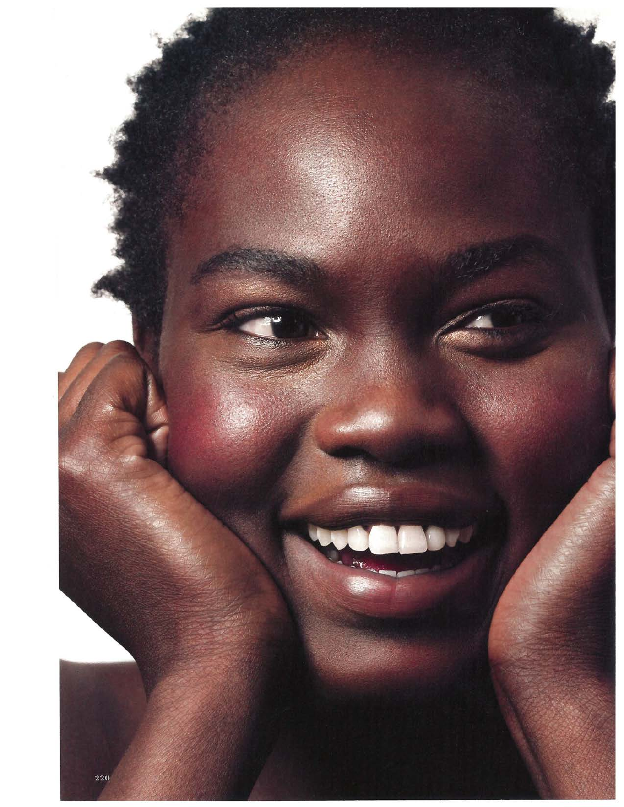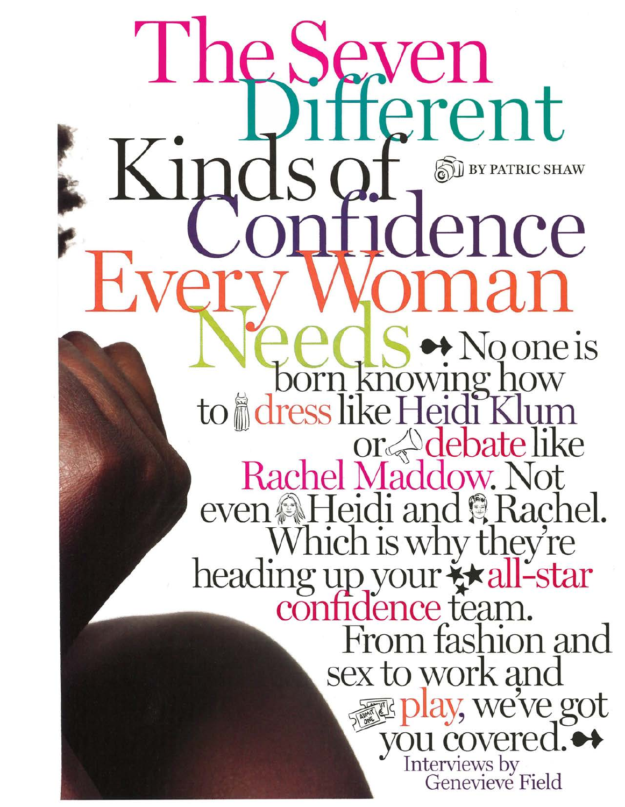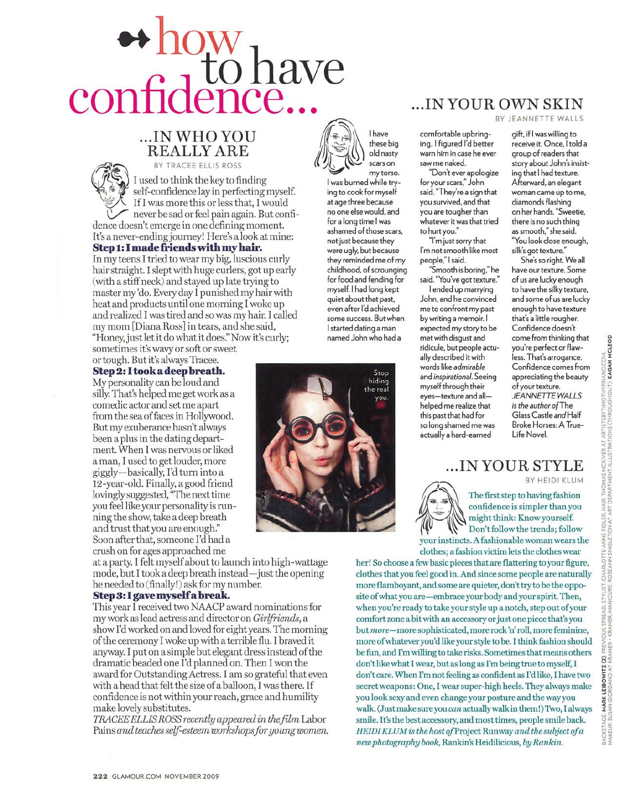# **... how to have confidence...**

## **REALLY ARE**

I used to think the key to finding self-confidence lay in perfecting myself. If I was more this or less that, I would never be sad or feel pain again. But confidence doesn't emerge in one defining moment. It's a never-ending journey! Here's a look at mine: **Step t: I madefriendswithmy hair.**  In my teens I tried to wear my big, luscious curly hair straight. I slept with huge curlers, got up early (with a stiff neck) and stayed up late trying to master my 'do. Every day I punished my hair with heat and products until one morning I woke up and realized I was tired and so was my hair. I called my mom [Diana Ross] in tears, and she said, "Honey, just let it do what it does:' Now it's curly;

sometimes it's wavy or soft or sweet or tough. But it's always Tracee.

#### **Step 2: I took a deep breath.**

My personality can be loud and silly. That's helped me get work as a comedic actor and set me apart from the sea of faces in Hollywood. But my exuberance hasn't always been a plus in the dating department. When I was nervous or liked a man, I used to get louder, more giggly- basically, I'd turn into a 12-year-old. Finally, a good friend lovingly suggested, "The next time you feel like your personality is runningtheshow, take a deep breath and trust that you are enough." Soon after that, someone I'd had a crush on for ages approached me

at a party. I felt myself about to launch into high-wattage mode, but I took a deep breath instead—just the opening he needed to (finally!) ask for my number.

#### **Step 3: I gave myself a break.**

This year I received two NAACP award nominations for my work as lead actress and director on *Girlfriends,* a show I'd worked on and loved for eight years. The morning of the ceremony I woke up with a terrible flu. I braved it anyway. I put on a simple but elegant dress instead of the dramatic beaded one I'd planned on. Then I won the award for Outstanding Actress. I am so grateful that even with a head that felt the size of a balloon, I was there. If confidence is not within your reach, grace and humility make lovely substitutes.

*TRAC.EE ELLIS ROSS recently appeared in the film* Labor Pains *and teaches self-esteem workshops for young women.* 



I was burned while trying to cook for myself no one else would, and for a long time I was ashamed of those scars, not just because they were ugly, but because they reminded me of my childhood, of scrounging for food and fending for myself. I had long kept quiet about that past, even after I'd achieved some success. But when I started dating a man named John who had a



#### **. .. IN YOUR OWN SKIN**

BY JEANNETTE WALLS

comfortable upbringing, I figured I'd better warn him in case he ever saw me naked.

"Don't ever apologize for your scars," John said. 'They're a sign that you survived, and that you are tougher than whatever it was that tried to hurt you."

"I'm just sorry that I'm not smooth like most people," I said.

"Smooth is boring," he said. "You've got texture."

I ended up marrying John, and he convinced me to confront my past by writing a memoir. I expected my story to be met with disgust and ridicule, but people actually described it with words like *admirable*  and *inspirational.* Seeing myself through their eyes-texture and allhelped me realize that this past that had for so long shamed me was actually a hard-earned

gift, if I was willing to receive it. Once, I told a group of readers that story about John's insisting that I had texture. Afterward, an elegant woman came up to me, on her hands. "Sweetie, there is no such thing as smooth," she said. "You look close enough. silk's got texture."

She's so right. We all have our texture. Some of us are lucky enough to have the silky texture, and some of us are lucky enough to have texture that's a little rougher. Confidence doesn't come from thinking that you're perfect or flawless. That's arrogance. Confidence comes from appreciating the beauty of your texture. JEANNETTE WALLS *is the author* ofThe Glass Castle *and* Half Broke Horses: A True-Life Novel.

#### **... INYOURSTYLE**  BY HEIDI KLUM



The first step to having fashion confidence is simpler than you might think: Know yourself. Don't follow the trends; follow your instincts. A fashionable woman wears the clothes; a fashion victim lets the clothes wear

her! So choose a few basic pieces that are flattering to your figure, clothes that you feel good in. And since some people are naturally more flamboyant, and some are quieter, don't try to be the opposite of what you are-embrace your body and your spirit. Then, when you're ready to take your style up a notch, step out of your comfort zone a bit with an accessory or just one piece that's you but *more-*more sophisticated, more rock 'n' roll, more feminine, more of whatever you'd like your style to be. I think fashion should be fun, and I'm willing to take risks. Sometimes that means others don't like what I wear, but as long as I'm being true to myself, I don't care. When I'm not feeling as confident as I'd like, I have two secret weapons: One, I wear super-high heels. They always make you look sexy and even change your posture and the way you walk. (Just make sure you *can* actually walk in them!) Two, I always smile. It's the best accessory, and most times, people smile back. *HEIDI KLUM* is *the host* ofProject Runway *and the subject of a new photography book,* Rankin's Heidilicious, *by Rankin.*